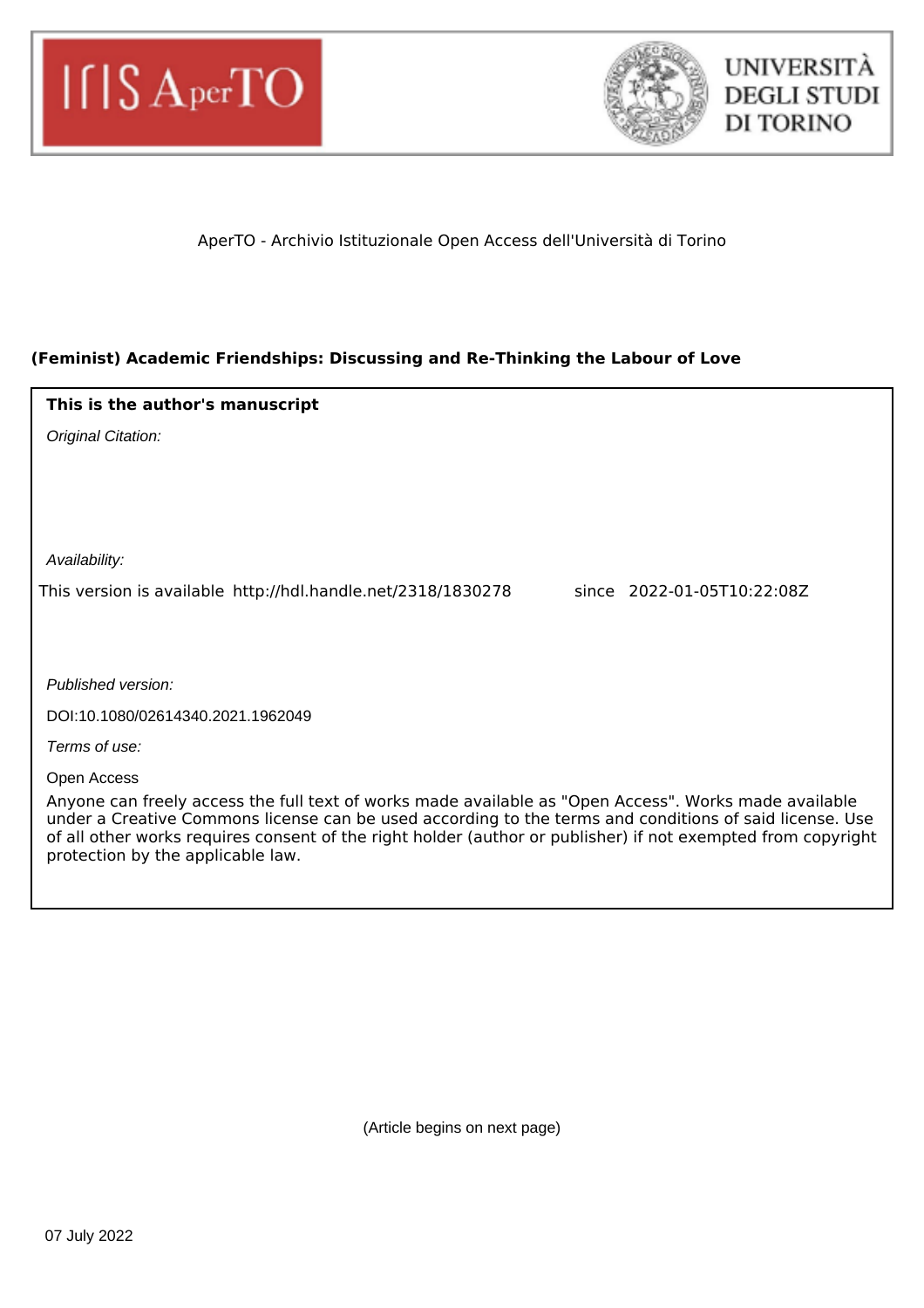



# AperTO - Archivio Istituzionale Open Access dell'Università di Torino

# **(Feminist) Academic Friendships: Discussing and Re-Thinking the Labour of Love**

| This is the author's manuscript                                                                                                                                                                                                                                                                                                                                       |  |
|-----------------------------------------------------------------------------------------------------------------------------------------------------------------------------------------------------------------------------------------------------------------------------------------------------------------------------------------------------------------------|--|
| Original Citation:                                                                                                                                                                                                                                                                                                                                                    |  |
|                                                                                                                                                                                                                                                                                                                                                                       |  |
|                                                                                                                                                                                                                                                                                                                                                                       |  |
|                                                                                                                                                                                                                                                                                                                                                                       |  |
| Availability:                                                                                                                                                                                                                                                                                                                                                         |  |
| This version is available http://hdl.handle.net/2318/1830278<br>since 2022-01-05T10:22:08Z                                                                                                                                                                                                                                                                            |  |
|                                                                                                                                                                                                                                                                                                                                                                       |  |
|                                                                                                                                                                                                                                                                                                                                                                       |  |
| Published version:                                                                                                                                                                                                                                                                                                                                                    |  |
| DOI:10.1080/02614340.2021.1962049                                                                                                                                                                                                                                                                                                                                     |  |
| Terms of use:                                                                                                                                                                                                                                                                                                                                                         |  |
| Open Access                                                                                                                                                                                                                                                                                                                                                           |  |
| Anyone can freely access the full text of works made available as "Open Access". Works made available<br>under a Creative Commons license can be used according to the terms and conditions of said license. Use<br>of all other works requires consent of the right holder (author or publisher) if not exempted from copyright<br>protection by the applicable law. |  |

(Article begins on next page)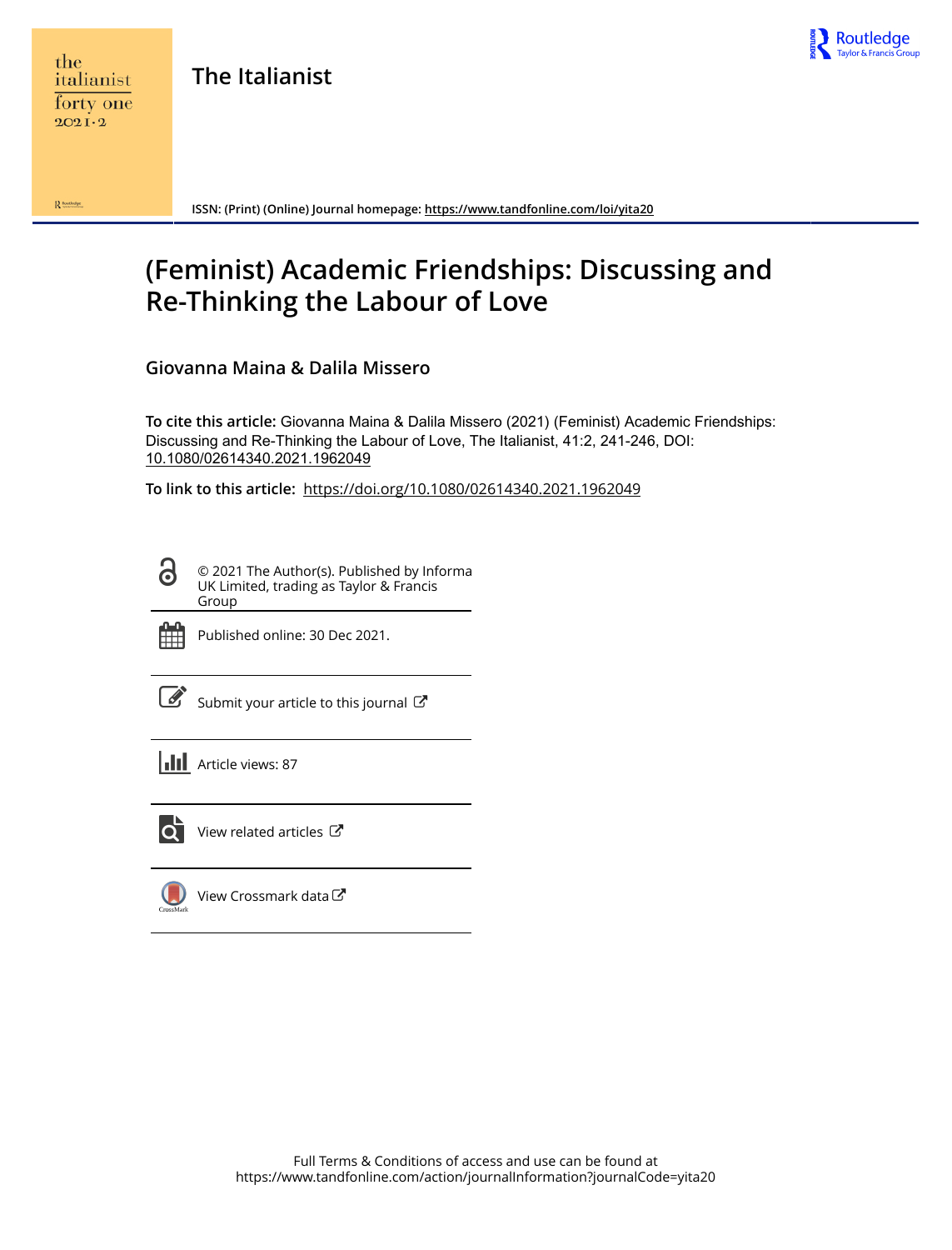

 $\mathbf{R}$  Routledge

**The Italianist**



**ISSN: (Print) (Online) Journal homepage:<https://www.tandfonline.com/loi/yita20>**

# **(Feminist) Academic Friendships: Discussing and Re-Thinking the Labour of Love**

**Giovanna Maina & Dalila Missero**

**To cite this article:** Giovanna Maina & Dalila Missero (2021) (Feminist) Academic Friendships: Discussing and Re-Thinking the Labour of Love, The Italianist, 41:2, 241-246, DOI: [10.1080/02614340.2021.1962049](https://www.tandfonline.com/action/showCitFormats?doi=10.1080/02614340.2021.1962049)

**To link to this article:** <https://doi.org/10.1080/02614340.2021.1962049>

© 2021 The Author(s). Published by Informa UK Limited, trading as Taylor & Francis Group



ര

Published online: 30 Dec 2021.

[Submit your article to this journal](https://www.tandfonline.com/action/authorSubmission?journalCode=yita20&show=instructions)  $\mathbb{Z}$ 

**III** Article views: 87



 $\overline{Q}$  [View related articles](https://www.tandfonline.com/doi/mlt/10.1080/02614340.2021.1962049)  $\overline{C}$ 

[View Crossmark data](http://crossmark.crossref.org/dialog/?doi=10.1080/02614340.2021.1962049&domain=pdf&date_stamp=2021-12-30)<sup>で</sup>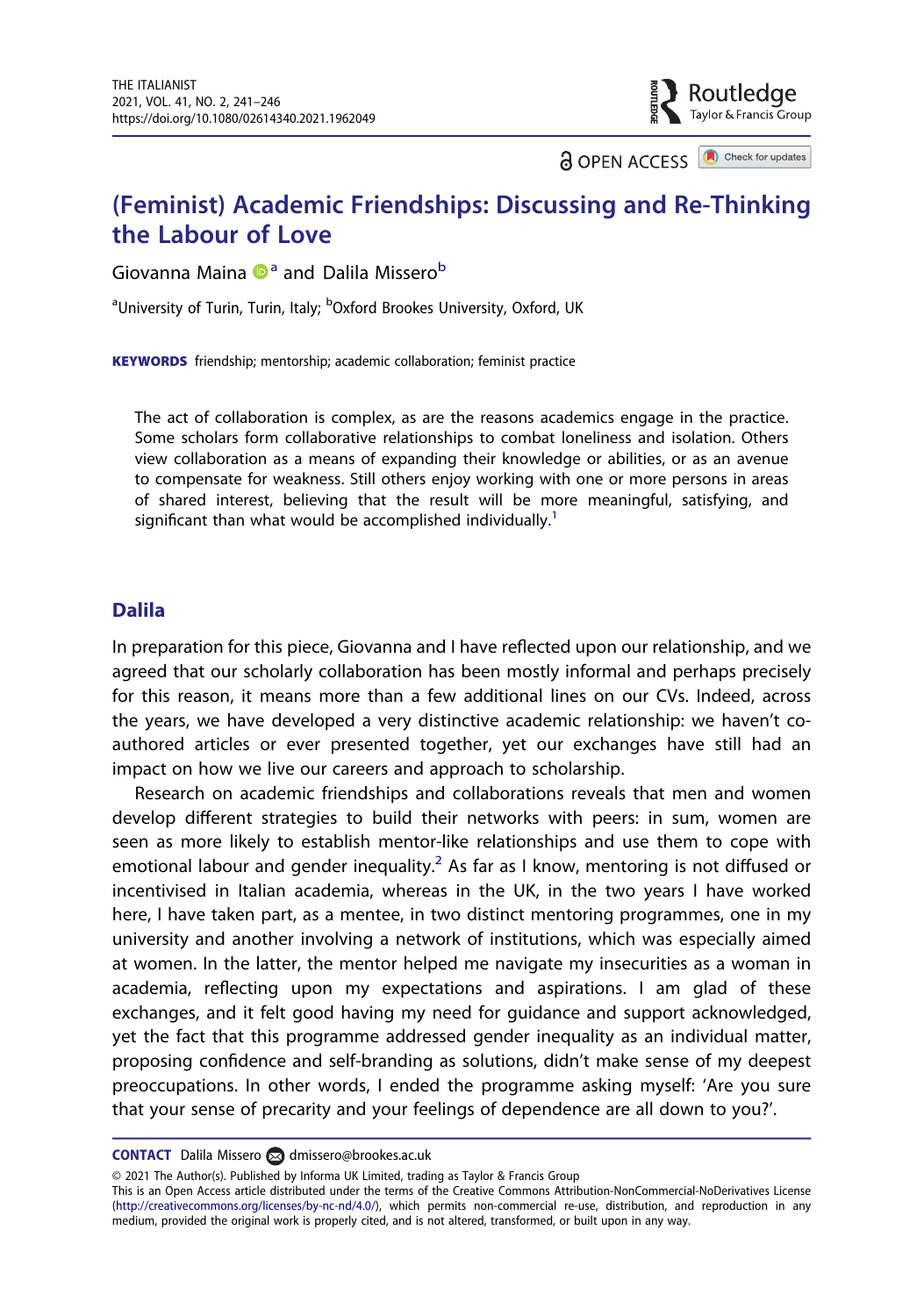**a** OPEN ACCESS **a** Check for updates

outledge: سي<br>Taylor & Francis Group

# (Feminist) Academic Friendships: Discussing and Re-Thinking the Labour of Love

Giovanna Maina  $\mathbf{D}^{\mathsf{a}}$  and Dalila Missero<sup>b</sup>

<sup>a</sup>University of Turin, Turin, Italy; <sup>b</sup>Oxford Brookes University, Oxford, UK

KEYWORDS friendship; mentorship; academic collaboration; feminist practice

The act of collaboration is complex, as are the reasons academics engage in the practice. Some scholars form collaborative relationships to combat loneliness and isolation. Others view collaboration as a means of expanding their knowledge or abilities, or as an avenue to compensate for weakness. Still others enjoy working with one or more persons in areas of shared interest, believing that the result will be more meaningful, satisfying, and significant than what would be accomplished individually.<sup>1</sup>

#### Dalila

In preparation for this piece, Giovanna and I have reflected upon our relationship, and we agreed that our scholarly collaboration has been mostly informal and perhaps precisely for this reason, it means more than a few additional lines on our CVs. Indeed, across the years, we have developed a very distinctive academic relationship: we haven't coauthored articles or ever presented together, yet our exchanges have still had an impact on how we live our careers and approach to scholarship.

Research on academic friendships and collaborations reveals that men and women develop different strategies to build their networks with peers: in sum, women are seen as more likely to establish mentor-like relationships and use them to cope with emotional labour and gender inequality.<sup>2</sup> As far as I know, mentoring is not diffused or incentivised in Italian academia, whereas in the UK, in the two years I have worked here, I have taken part, as a mentee, in two distinct mentoring programmes, one in my university and another involving a network of institutions, which was especially aimed at women. In the latter, the mentor helped me navigate my insecurities as a woman in academia, reflecting upon my expectations and aspirations. I am glad of these exchanges, and it felt good having my need for guidance and support acknowledged, yet the fact that this programme addressed gender inequality as an individual matter, proposing confidence and self-branding as solutions, didn't make sense of my deepest preoccupations. In other words, I ended the programme asking myself: 'Are you sure that your sense of precarity and your feelings of dependence are all down to you?'.

© 2021 The Author(s). Published by Informa UK Limited, trading as Taylor & Francis Group

CONTACT Dalila Missero amissero@brookes.ac.uk

This is an Open Access article distributed under the terms of the Creative Commons Attribution-NonCommercial-NoDerivatives License ([http://creativecommons.org/licenses/by-nc-nd/4.0/\)](http://creativecommons.org/licenses/by-nc-nd/4.0/), which permits non-commercial re-use, distribution, and reproduction in any medium, provided the original work is properly cited, and is not altered, transformed, or built upon in any way.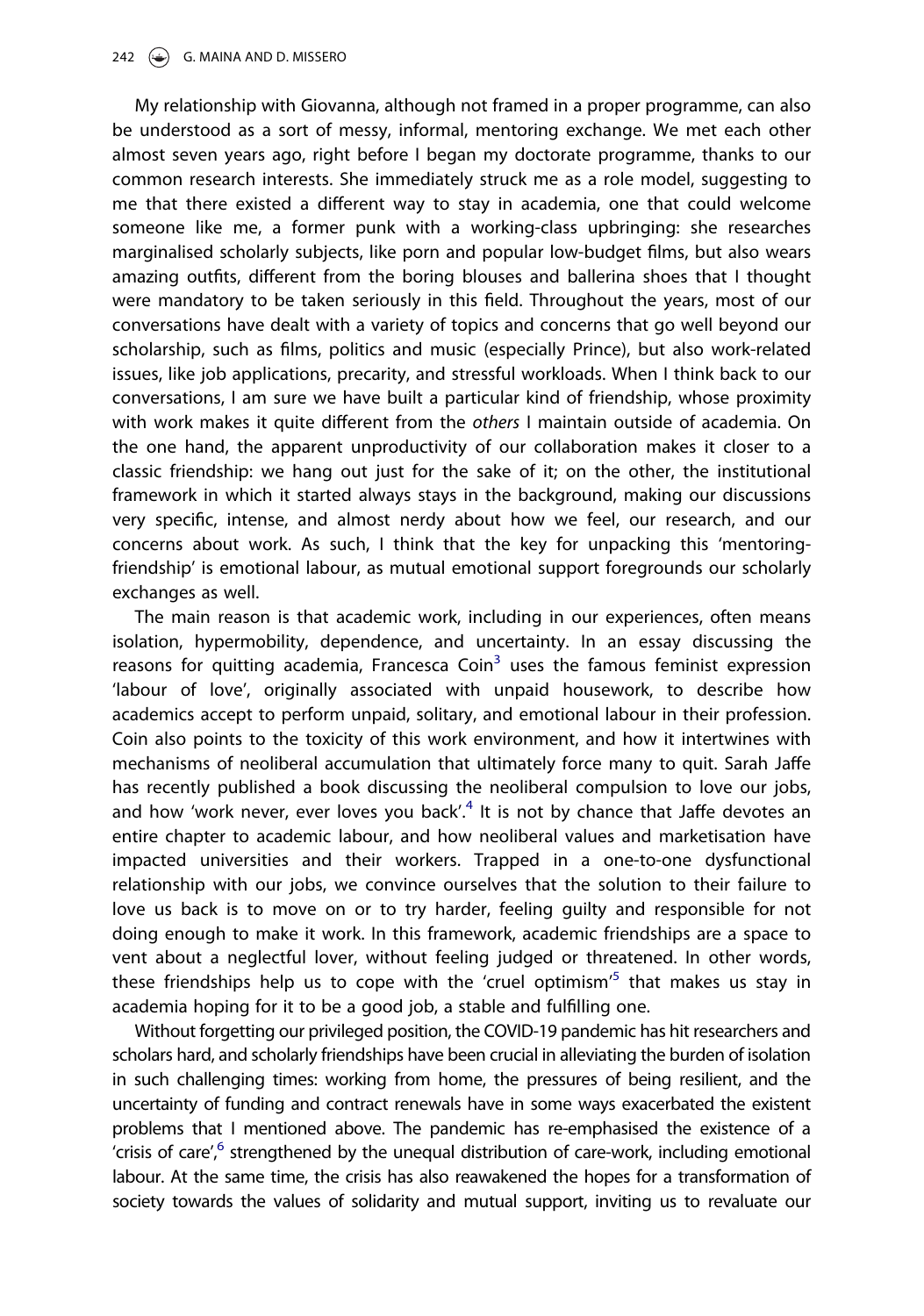My relationship with Giovanna, although not framed in a proper programme, can also be understood as a sort of messy, informal, mentoring exchange. We met each other almost seven years ago, right before I began my doctorate programme, thanks to our common research interests. She immediately struck me as a role model, suggesting to me that there existed a different way to stay in academia, one that could welcome someone like me, a former punk with a working-class upbringing: she researches marginalised scholarly subjects, like porn and popular low-budget films, but also wears amazing outfits, different from the boring blouses and ballerina shoes that I thought were mandatory to be taken seriously in this field. Throughout the years, most of our conversations have dealt with a variety of topics and concerns that go well beyond our scholarship, such as films, politics and music (especially Prince), but also work-related issues, like job applications, precarity, and stressful workloads. When I think back to our conversations, I am sure we have built a particular kind of friendship, whose proximity with work makes it quite different from the others I maintain outside of academia. On the one hand, the apparent unproductivity of our collaboration makes it closer to a classic friendship: we hang out just for the sake of it; on the other, the institutional framework in which it started always stays in the background, making our discussions very specific, intense, and almost nerdy about how we feel, our research, and our concerns about work. As such, I think that the key for unpacking this 'mentoringfriendship' is emotional labour, as mutual emotional support foregrounds our scholarly exchanges as well.

The main reason is that academic work, including in our experiences, often means isolation, hypermobility, dependence, and uncertainty. In an essay discussing the reasons for quitting academia, Francesca Coin $3$  uses the famous feminist expression 'labour of love', originally associated with unpaid housework, to describe how academics accept to perform unpaid, solitary, and emotional labour in their profession. Coin also points to the toxicity of this work environment, and how it intertwines with mechanisms of neoliberal accumulation that ultimately force many to quit. Sarah Jaffe has recently published a book discussing the neoliberal compulsion to love our jobs, and how 'work never, ever loves you back'.<sup>4</sup> It is not by chance that Jaffe devotes an entire chapter to academic labour, and how neoliberal values and marketisation have impacted universities and their workers. Trapped in a one-to-one dysfunctional relationship with our jobs, we convince ourselves that the solution to their failure to love us back is to move on or to try harder, feeling guilty and responsible for not doing enough to make it work. In this framework, academic friendships are a space to vent about a neglectful lover, without feeling judged or threatened. In other words, these friendships help us to cope with the 'cruel optimism'<sup>5</sup> that makes us stay in academia hoping for it to be a good job, a stable and fulfilling one.

Without forgetting our privileged position, the COVID-19 pandemic has hit researchers and scholars hard, and scholarly friendships have been crucial in alleviating the burden of isolation in such challenging times: working from home, the pressures of being resilient, and the uncertainty of funding and contract renewals have in some ways exacerbated the existent problems that I mentioned above. The pandemic has re-emphasised the existence of a 'crisis of care',<sup>6</sup> strengthened by the unequal distribution of care-work, including emotional labour. At the same time, the crisis has also reawakened the hopes for a transformation of society towards the values of solidarity and mutual support, inviting us to revaluate our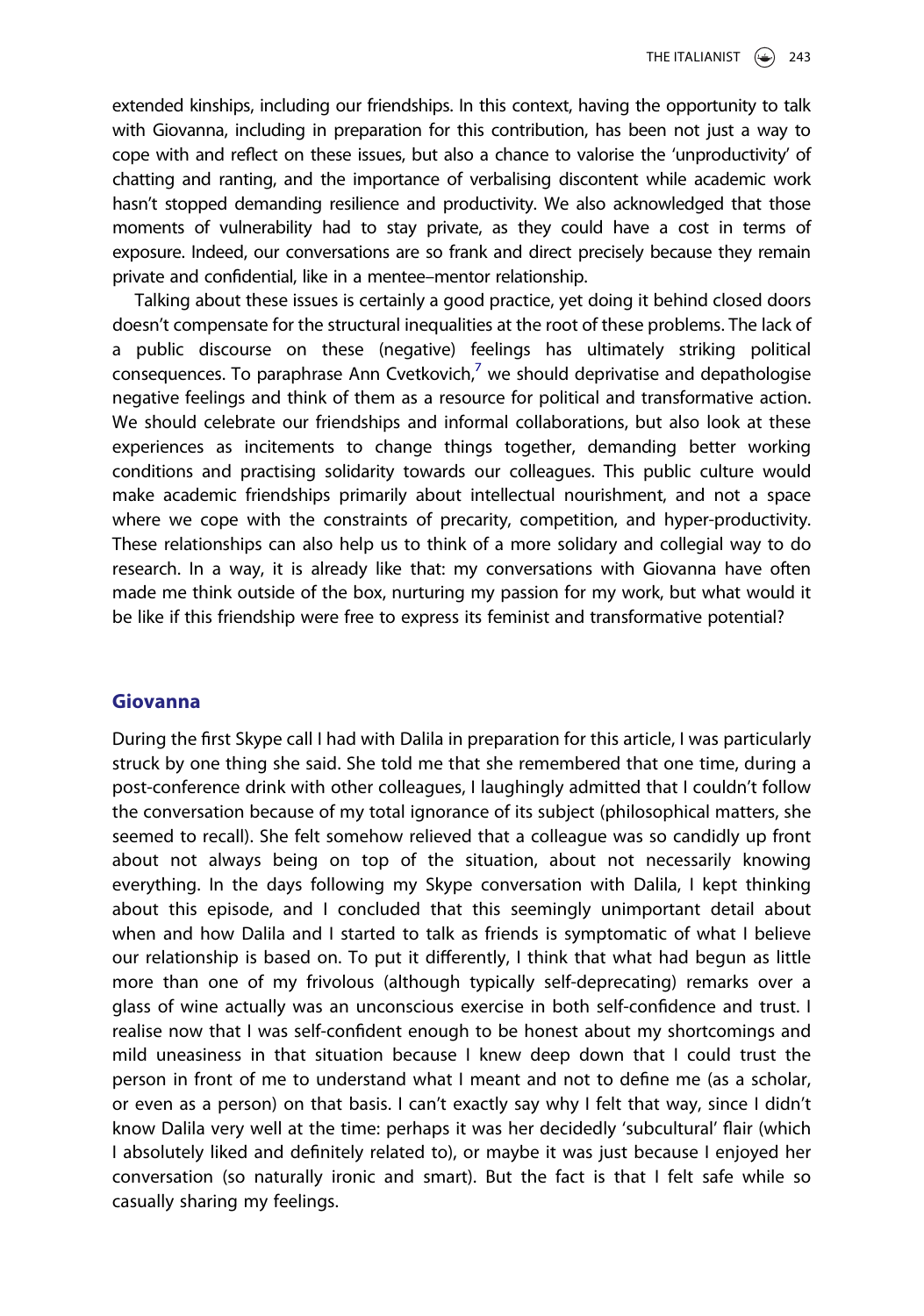extended kinships, including our friendships. In this context, having the opportunity to talk with Giovanna, including in preparation for this contribution, has been not just a way to cope with and reflect on these issues, but also a chance to valorise the 'unproductivity' of chatting and ranting, and the importance of verbalising discontent while academic work hasn't stopped demanding resilience and productivity. We also acknowledged that those moments of vulnerability had to stay private, as they could have a cost in terms of exposure. Indeed, our conversations are so frank and direct precisely because they remain private and confidential, like in a mentee–mentor relationship.

Talking about these issues is certainly a good practice, yet doing it behind closed doors doesn't compensate for the structural inequalities at the root of these problems. The lack of a public discourse on these (negative) feelings has ultimately striking political consequences. To paraphrase Ann Cvetkovich, $7$  we should deprivatise and depathologise negative feelings and think of them as a resource for political and transformative action. We should celebrate our friendships and informal collaborations, but also look at these experiences as incitements to change things together, demanding better working conditions and practising solidarity towards our colleagues. This public culture would make academic friendships primarily about intellectual nourishment, and not a space where we cope with the constraints of precarity, competition, and hyper-productivity. These relationships can also help us to think of a more solidary and collegial way to do research. In a way, it is already like that: my conversations with Giovanna have often made me think outside of the box, nurturing my passion for my work, but what would it be like if this friendship were free to express its feminist and transformative potential?

#### Giovanna

During the first Skype call I had with Dalila in preparation for this article, I was particularly struck by one thing she said. She told me that she remembered that one time, during a post-conference drink with other colleagues, I laughingly admitted that I couldn't follow the conversation because of my total ignorance of its subject (philosophical matters, she seemed to recall). She felt somehow relieved that a colleague was so candidly up front about not always being on top of the situation, about not necessarily knowing everything. In the days following my Skype conversation with Dalila, I kept thinking about this episode, and I concluded that this seemingly unimportant detail about when and how Dalila and I started to talk as friends is symptomatic of what I believe our relationship is based on. To put it differently, I think that what had begun as little more than one of my frivolous (although typically self-deprecating) remarks over a glass of wine actually was an unconscious exercise in both self-confidence and trust. I realise now that I was self-confident enough to be honest about my shortcomings and mild uneasiness in that situation because I knew deep down that I could trust the person in front of me to understand what I meant and not to define me (as a scholar, or even as a person) on that basis. I can't exactly say why I felt that way, since I didn't know Dalila very well at the time: perhaps it was her decidedly 'subcultural' flair (which I absolutely liked and definitely related to), or maybe it was just because I enjoyed her conversation (so naturally ironic and smart). But the fact is that I felt safe while so casually sharing my feelings.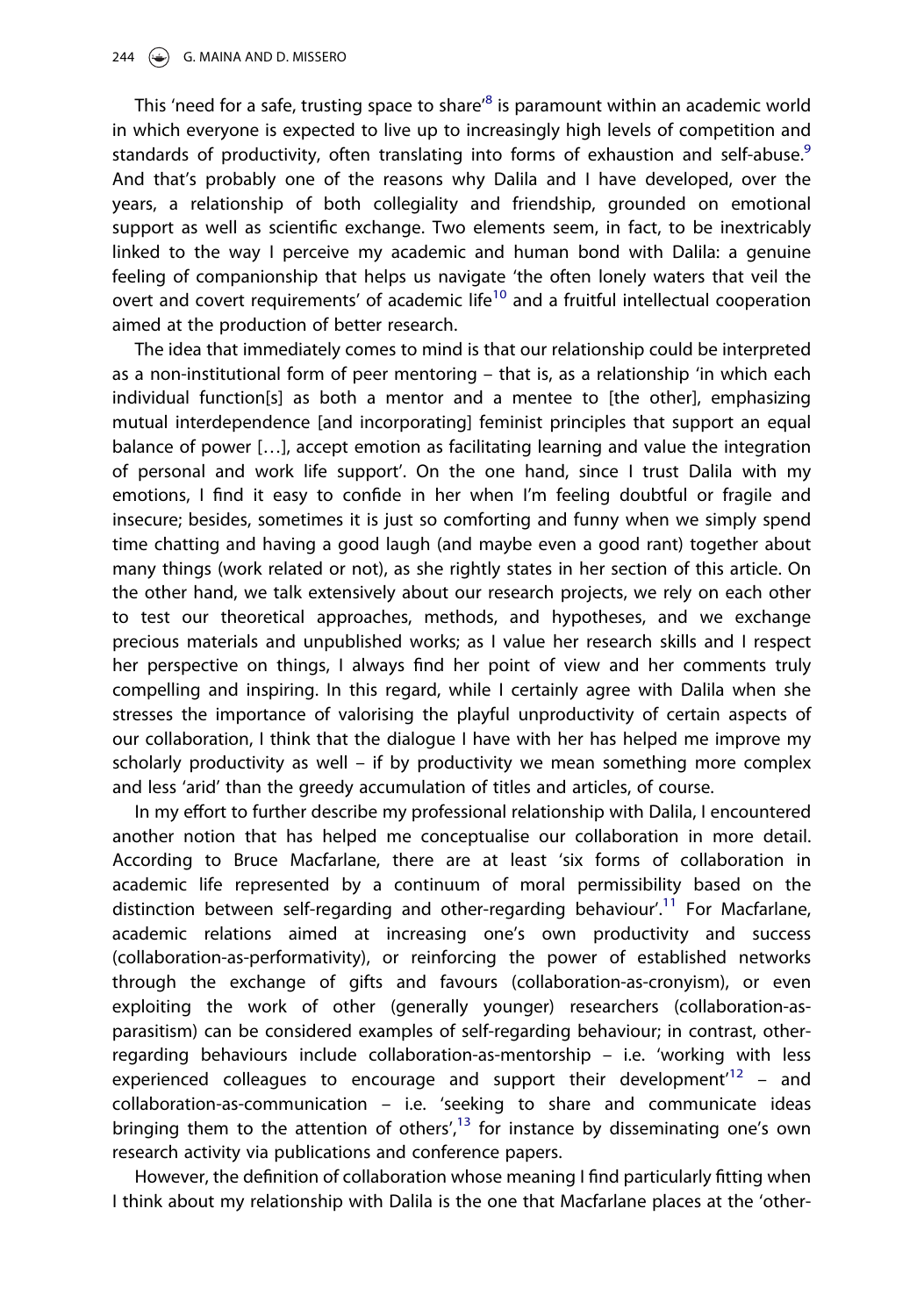This 'need for a safe, trusting space to share'<sup>8</sup> is paramount within an academic world in which everyone is expected to live up to increasingly high levels of competition and standards of productivity, often translating into forms of exhaustion and self-abuse.<sup>9</sup> And that's probably one of the reasons why Dalila and I have developed, over the years, a relationship of both collegiality and friendship, grounded on emotional support as well as scientific exchange. Two elements seem, in fact, to be inextricably linked to the way I perceive my academic and human bond with Dalila: a genuine feeling of companionship that helps us navigate 'the often lonely waters that veil the overt and covert requirements' of academic life<sup>10</sup> and a fruitful intellectual cooperation aimed at the production of better research.

The idea that immediately comes to mind is that our relationship could be interpreted as a non-institutional form of peer mentoring – that is, as a relationship 'in which each individual function[s] as both a mentor and a mentee to [the other], emphasizing mutual interdependence [and incorporating] feminist principles that support an equal balance of power […], accept emotion as facilitating learning and value the integration of personal and work life support'. On the one hand, since I trust Dalila with my emotions, I find it easy to confide in her when I'm feeling doubtful or fragile and insecure; besides, sometimes it is just so comforting and funny when we simply spend time chatting and having a good laugh (and maybe even a good rant) together about many things (work related or not), as she rightly states in her section of this article. On the other hand, we talk extensively about our research projects, we rely on each other to test our theoretical approaches, methods, and hypotheses, and we exchange precious materials and unpublished works; as I value her research skills and I respect her perspective on things, I always find her point of view and her comments truly compelling and inspiring. In this regard, while I certainly agree with Dalila when she stresses the importance of valorising the playful unproductivity of certain aspects of our collaboration, I think that the dialogue I have with her has helped me improve my scholarly productivity as well – if by productivity we mean something more complex and less 'arid' than the greedy accumulation of titles and articles, of course.

In my effort to further describe my professional relationship with Dalila, I encountered another notion that has helped me conceptualise our collaboration in more detail. According to Bruce Macfarlane, there are at least 'six forms of collaboration in academic life represented by a continuum of moral permissibility based on the distinction between self-regarding and other-regarding behaviour'.<sup>11</sup> For Macfarlane, academic relations aimed at increasing one's own productivity and success (collaboration-as-performativity), or reinforcing the power of established networks through the exchange of gifts and favours (collaboration-as-cronyism), or even exploiting the work of other (generally younger) researchers (collaboration-asparasitism) can be considered examples of self-regarding behaviour; in contrast, otherregarding behaviours include collaboration-as-mentorship – i.e. 'working with less experienced colleagues to encourage and support their development<sup> $12$ </sup> - and collaboration-as-communication – i.e. 'seeking to share and communicate ideas bringing them to the attention of others',<sup>13</sup> for instance by disseminating one's own research activity via publications and conference papers.

However, the definition of collaboration whose meaning I find particularly fitting when I think about my relationship with Dalila is the one that Macfarlane places at the 'other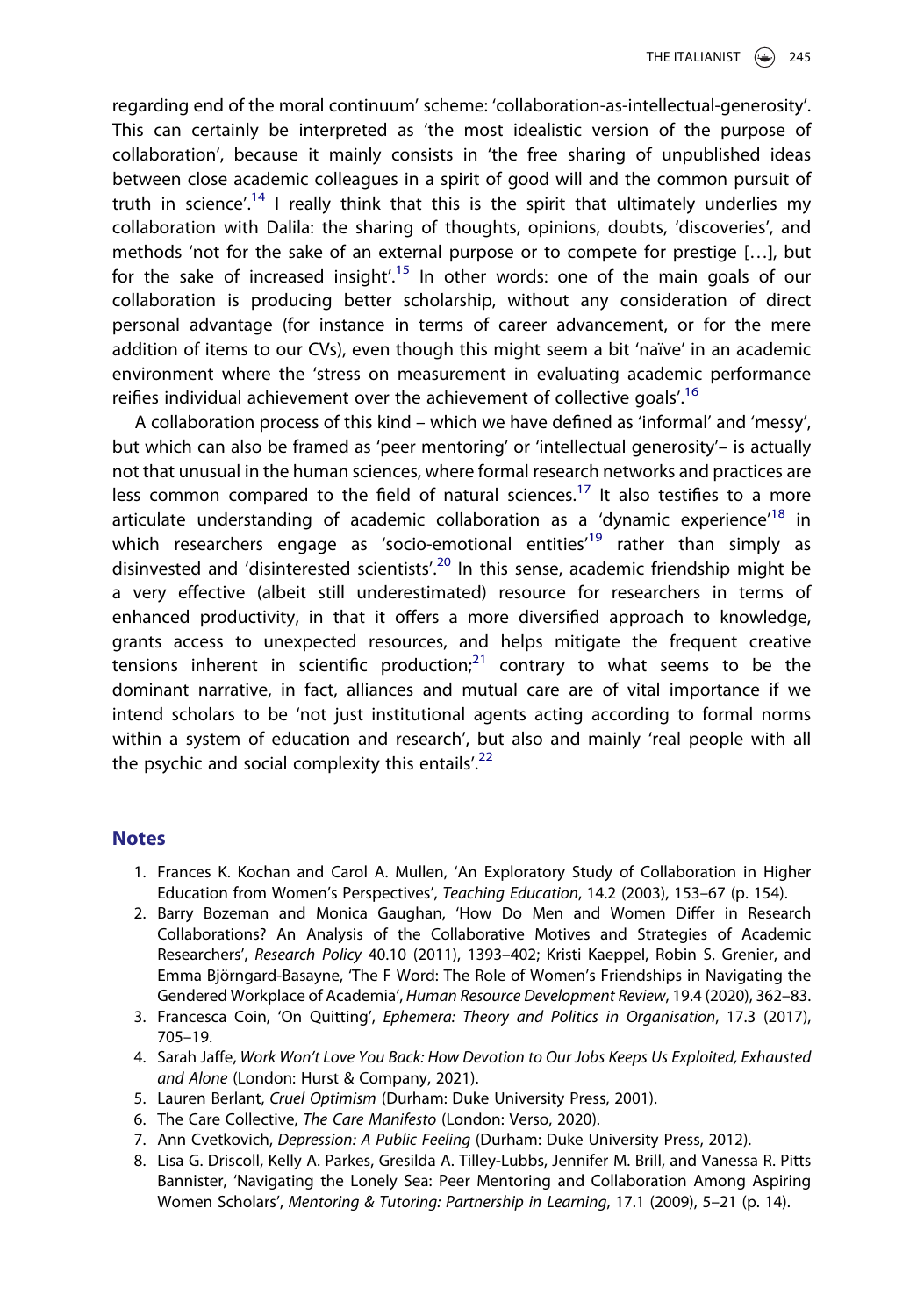regarding end of the moral continuum' scheme: 'collaboration-as-intellectual-generosity'. This can certainly be interpreted as 'the most idealistic version of the purpose of collaboration', because it mainly consists in 'the free sharing of unpublished ideas between close academic colleagues in a spirit of good will and the common pursuit of truth in science'.<sup>14</sup> I really think that this is the spirit that ultimately underlies my collaboration with Dalila: the sharing of thoughts, opinions, doubts, 'discoveries', and methods 'not for the sake of an external purpose or to compete for prestige […], but for the sake of increased insight'.<sup>15</sup> In other words: one of the main goals of our collaboration is producing better scholarship, without any consideration of direct personal advantage (for instance in terms of career advancement, or for the mere addition of items to our CVs), even though this might seem a bit 'naïve' in an academic environment where the 'stress on measurement in evaluating academic performance reifies individual achievement over the achievement of collective goals'.<sup>16</sup>

A collaboration process of this kind – which we have defined as 'informal' and 'messy', but which can also be framed as 'peer mentoring' or 'intellectual generosity'– is actually not that unusual in the human sciences, where formal research networks and practices are less common compared to the field of natural sciences.<sup>17</sup> It also testifies to a more articulate understanding of academic collaboration as a 'dynamic experience'<sup>18</sup> in which researchers engage as 'socio-emotional entities'<sup>19</sup> rather than simply as disinvested and 'disinterested scientists'.<sup>20</sup> In this sense, academic friendship might be a very effective (albeit still underestimated) resource for researchers in terms of enhanced productivity, in that it offers a more diversified approach to knowledge, grants access to unexpected resources, and helps mitigate the frequent creative tensions inherent in scientific production; $21$  contrary to what seems to be the dominant narrative, in fact, alliances and mutual care are of vital importance if we intend scholars to be 'not just institutional agents acting according to formal norms within a system of education and research', but also and mainly 'real people with all the psychic and social complexity this entails'.<sup>22</sup>

#### **Notes**

- 1. Frances K. Kochan and Carol A. Mullen, 'An Exploratory Study of Collaboration in Higher Education from Women's Perspectives', Teaching Education, 14.2 (2003), 153–67 (p. 154).
- 2. Barry Bozeman and Monica Gaughan, 'How Do Men and Women Differ in Research Collaborations? An Analysis of the Collaborative Motives and Strategies of Academic Researchers', Research Policy 40.10 (2011), 1393–402; Kristi Kaeppel, Robin S. Grenier, and Emma Björngard-Basayne, 'The F Word: The Role of Women's Friendships in Navigating the Gendered Workplace of Academia', Human Resource Development Review, 19.4 (2020), 362–83.
- 3. Francesca Coin, 'On Quitting', Ephemera: Theory and Politics in Organisation, 17.3 (2017), 705–19.
- 4. Sarah Jaffe, Work Won't Love You Back: How Devotion to Our Jobs Keeps Us Exploited, Exhausted and Alone (London: Hurst & Company, 2021).
- 5. Lauren Berlant, Cruel Optimism (Durham: Duke University Press, 2001).
- 6. The Care Collective, The Care Manifesto (London: Verso, 2020).
- 7. Ann Cvetkovich, Depression: A Public Feeling (Durham: Duke University Press, 2012).
- 8. Lisa G. Driscoll, Kelly A. Parkes, Gresilda A. Tilley-Lubbs, Jennifer M. Brill, and Vanessa R. Pitts Bannister, 'Navigating the Lonely Sea: Peer Mentoring and Collaboration Among Aspiring Women Scholars', Mentoring & Tutoring: Partnership in Learning, 17.1 (2009), 5–21 (p. 14).